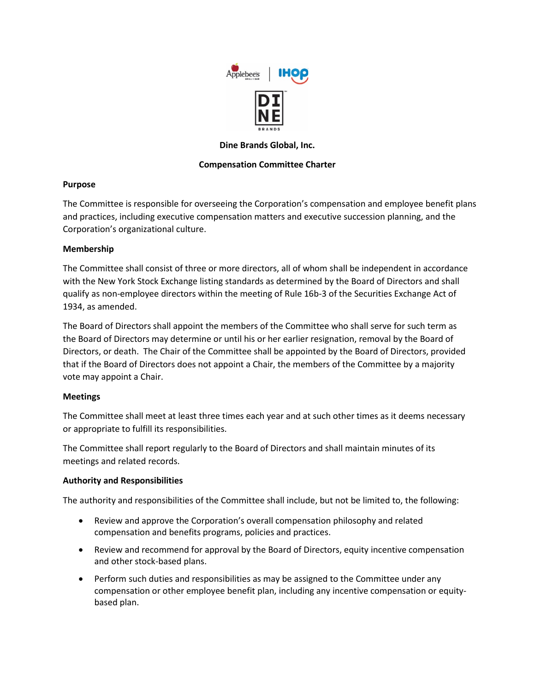

# **Dine Brands Global, Inc.**

# **Compensation Committee Charter**

# **Purpose**

The Committee is responsible for overseeing the Corporation's compensation and employee benefit plans and practices, including executive compensation matters and executive succession planning, and the Corporation's organizational culture.

# **Membership**

The Committee shall consist of three or more directors, all of whom shall be independent in accordance with the New York Stock Exchange listing standards as determined by the Board of Directors and shall qualify as non-employee directors within the meeting of Rule 16b-3 of the Securities Exchange Act of 1934, as amended.

The Board of Directors shall appoint the members of the Committee who shall serve for such term as the Board of Directors may determine or until his or her earlier resignation, removal by the Board of Directors, or death. The Chair of the Committee shall be appointed by the Board of Directors, provided that if the Board of Directors does not appoint a Chair, the members of the Committee by a majority vote may appoint a Chair.

## **Meetings**

The Committee shall meet at least three times each year and at such other times as it deems necessary or appropriate to fulfill its responsibilities.

The Committee shall report regularly to the Board of Directors and shall maintain minutes of its meetings and related records.

## **Authority and Responsibilities**

The authority and responsibilities of the Committee shall include, but not be limited to, the following:

- Review and approve the Corporation's overall compensation philosophy and related compensation and benefits programs, policies and practices.
- Review and recommend for approval by the Board of Directors, equity incentive compensation and other stock-based plans.
- Perform such duties and responsibilities as may be assigned to the Committee under any compensation or other employee benefit plan, including any incentive compensation or equitybased plan.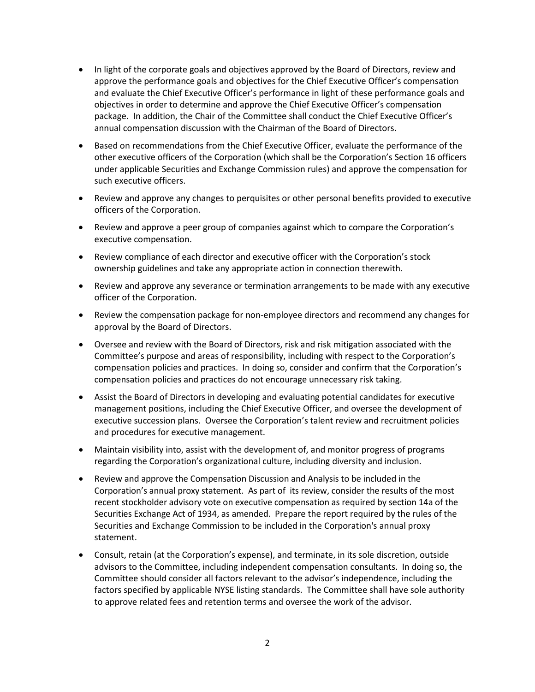- In light of the corporate goals and objectives approved by the Board of Directors, review and approve the performance goals and objectives for the Chief Executive Officer's compensation and evaluate the Chief Executive Officer's performance in light of these performance goals and objectives in order to determine and approve the Chief Executive Officer's compensation package. In addition, the Chair of the Committee shall conduct the Chief Executive Officer's annual compensation discussion with the Chairman of the Board of Directors.
- Based on recommendations from the Chief Executive Officer, evaluate the performance of the other executive officers of the Corporation (which shall be the Corporation's Section 16 officers under applicable Securities and Exchange Commission rules) and approve the compensation for such executive officers.
- Review and approve any changes to perquisites or other personal benefits provided to executive officers of the Corporation.
- Review and approve a peer group of companies against which to compare the Corporation's executive compensation.
- Review compliance of each director and executive officer with the Corporation's stock ownership guidelines and take any appropriate action in connection therewith.
- Review and approve any severance or termination arrangements to be made with any executive officer of the Corporation.
- Review the compensation package for non-employee directors and recommend any changes for approval by the Board of Directors.
- Oversee and review with the Board of Directors, risk and risk mitigation associated with the Committee's purpose and areas of responsibility, including with respect to the Corporation's compensation policies and practices. In doing so, consider and confirm that the Corporation's compensation policies and practices do not encourage unnecessary risk taking.
- Assist the Board of Directors in developing and evaluating potential candidates for executive management positions, including the Chief Executive Officer, and oversee the development of executive succession plans. Oversee the Corporation's talent review and recruitment policies and procedures for executive management.
- Maintain visibility into, assist with the development of, and monitor progress of programs regarding the Corporation's organizational culture, including diversity and inclusion.
- Review and approve the Compensation Discussion and Analysis to be included in the Corporation's annual proxy statement. As part of its review, consider the results of the most recent stockholder advisory vote on executive compensation as required by section 14a of the Securities Exchange Act of 1934, as amended. Prepare the report required by the rules of the Securities and Exchange Commission to be included in the Corporation's annual proxy statement.
- Consult, retain (at the Corporation's expense), and terminate, in its sole discretion, outside advisors to the Committee, including independent compensation consultants. In doing so, the Committee should consider all factors relevant to the advisor's independence, including the factors specified by applicable NYSE listing standards. The Committee shall have sole authority to approve related fees and retention terms and oversee the work of the advisor.